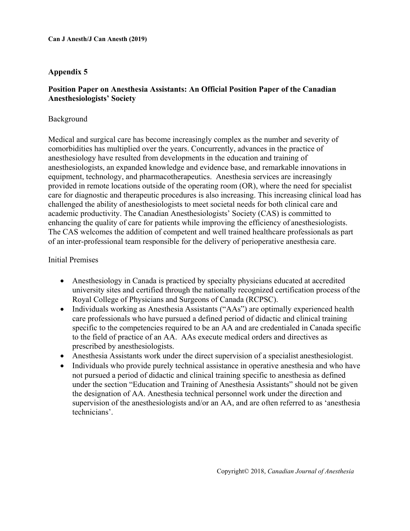### **Appendix 5**

#### **Position Paper on Anesthesia Assistants: An Official Position Paper of the Canadian Anesthesiologists' Society**

#### Background

Medical and surgical care has become increasingly complex as the number and severity of comorbidities has multiplied over the years. Concurrently, advances in the practice of anesthesiology have resulted from developments in the education and training of anesthesiologists, an expanded knowledge and evidence base, and remarkable innovations in equipment, technology, and pharmacotherapeutics. Anesthesia services are increasingly provided in remote locations outside of the operating room (OR), where the need for specialist care for diagnostic and therapeutic procedures is also increasing. This increasing clinical load has challenged the ability of anesthesiologists to meet societal needs for both clinical care and academic productivity. The Canadian Anesthesiologists' Society (CAS) is committed to enhancing the quality of care for patients while improving the efficiency of anesthesiologists. The CAS welcomes the addition of competent and well trained healthcare professionals as part of an inter-professional team responsible for the delivery of perioperative anesthesia care.

#### Initial Premises

- Anesthesiology in Canada is practiced by specialty physicians educated at accredited university sites and certified through the nationally recognized certification process of the Royal College of Physicians and Surgeons of Canada (RCPSC).
- Individuals working as Anesthesia Assistants ("AAs") are optimally experienced health care professionals who have pursued a defined period of didactic and clinical training specific to the competencies required to be an AA and are credentialed in Canada specific to the field of practice of an AA. AAs execute medical orders and directives as prescribed by anesthesiologists.
- Anesthesia Assistants work under the direct supervision of a specialist anesthesiologist.
- Individuals who provide purely technical assistance in operative anesthesia and who have not pursued a period of didactic and clinical training specific to anesthesia as defined under the section "Education and Training of Anesthesia Assistants" should not be given the designation of AA. Anesthesia technical personnel work under the direction and supervision of the anesthesiologists and/or an AA, and are often referred to as 'anesthesia technicians'.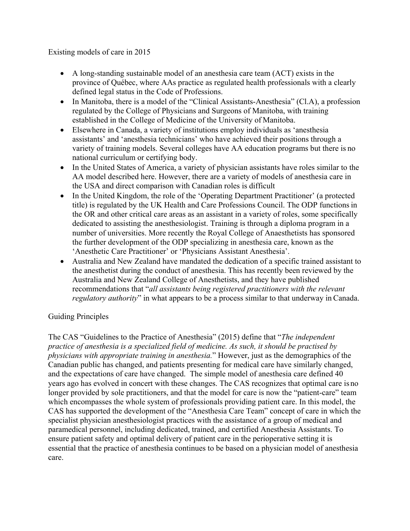Existing models of care in 2015

- A long-standing sustainable model of an anesthesia care team (ACT) exists in the province of Québec, where AAs practice as regulated health professionals with a clearly defined legal status in the Code of Professions.
- In Manitoba, there is a model of the "Clinical Assistants-Anesthesia" (Cl.A), a profession regulated by the College of Physicians and Surgeons of Manitoba, with training established in the College of Medicine of the University of Manitoba.
- Elsewhere in Canada, a variety of institutions employ individuals as 'anesthesia assistants' and 'anesthesia technicians' who have achieved their positions through a variety of training models. Several colleges have AA education programs but there is no national curriculum or certifying body.
- In the United States of America, a variety of physician assistants have roles similar to the AA model described here. However, there are a variety of models of anesthesia care in the USA and direct comparison with Canadian roles is difficult
- In the United Kingdom, the role of the 'Operating Department Practitioner' (a protected title) is regulated by the UK Health and Care Professions Council. The ODP functions in the OR and other critical care areas as an assistant in a variety of roles, some specifically dedicated to assisting the anesthesiologist. Training is through a diploma program in a number of universities. More recently the Royal College of Anaesthetists has sponsored the further development of the ODP specializing in anesthesia care, known as the 'Anesthetic Care Practitioner' or 'Physicians Assistant Anesthesia'.
- Australia and New Zealand have mandated the dedication of a specific trained assistant to the anesthetist during the conduct of anesthesia. This has recently been reviewed by the Australia and New Zealand College of Anesthetists, and they have published recommendations that "*all assistants being registered practitioners with the relevant regulatory authority*" in what appears to be a process similar to that underway in Canada.

# Guiding Principles

The CAS "Guidelines to the Practice of Anesthesia" (2015) define that "*The independent practice of anesthesia is a specialized field of medicine. As such, it should be practised by physicians with appropriate training in anesthesia.*" However, just as the demographics of the Canadian public has changed, and patients presenting for medical care have similarly changed, and the expectations of care have changed. The simple model of anesthesia care defined 40 years ago has evolved in concert with these changes. The CAS recognizes that optimal care is no longer provided by sole practitioners, and that the model for care is now the "patient-care" team which encompasses the whole system of professionals providing patient care. In this model, the CAS has supported the development of the "Anesthesia Care Team" concept of care in which the specialist physician anesthesiologist practices with the assistance of a group of medical and paramedical personnel, including dedicated, trained, and certified Anesthesia Assistants. To ensure patient safety and optimal delivery of patient care in the perioperative setting it is essential that the practice of anesthesia continues to be based on a physician model of anesthesia care.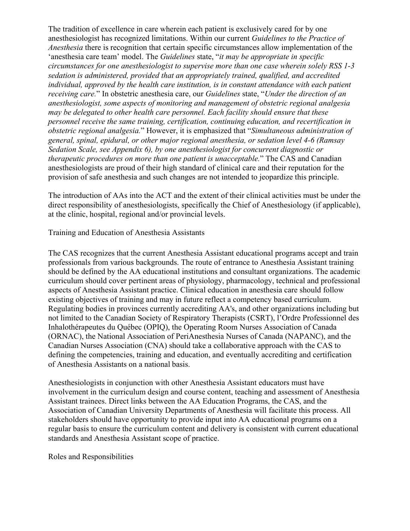The tradition of excellence in care wherein each patient is exclusively cared for by one anesthesiologist has recognized limitations. Within our current *Guidelines to the Practice of Anesthesia* there is recognition that certain specific circumstances allow implementation of the 'anesthesia care team' model. The *Guidelines* state, "*it may be appropriate in specific circumstances for one anesthesiologist to supervise more than one case wherein solely RSS 1-3 sedation is administered, provided that an appropriately trained, qualified, and accredited individual, approved by the health care institution, is in constant attendance with each patient receiving care.*" In obstetric anesthesia care, our *Guidelines* state, "*Under the direction of an anesthesiologist, some aspects of monitoring and management of obstetric regional analgesia may be delegated to other health care personnel. Each facility should ensure that these personnel receive the same training, certification, continuing education, and recertification in obstetric regional analgesia.*" However, it is emphasized that "*Simultaneous administration of general, spinal, epidural, or other major regional anesthesia, or sedation level 4-6 (Ramsay Sedation Scale, see Appendix 6), by one anesthesiologist for concurrent diagnostic or therapeutic procedures on more than one patient is unacceptable.*" The CAS and Canadian anesthesiologists are proud of their high standard of clinical care and their reputation for the provision of safe anesthesia and such changes are not intended to jeopardize this principle.

The introduction of AAs into the ACT and the extent of their clinical activities must be under the direct responsibility of anesthesiologists, specifically the Chief of Anesthesiology (if applicable), at the clinic, hospital, regional and/or provincial levels.

Training and Education of Anesthesia Assistants

The CAS recognizes that the current Anesthesia Assistant educational programs accept and train professionals from various backgrounds. The route of entrance to Anesthesia Assistant training should be defined by the AA educational institutions and consultant organizations. The academic curriculum should cover pertinent areas of physiology, pharmacology, technical and professional aspects of Anesthesia Assistant practice. Clinical education in anesthesia care should follow existing objectives of training and may in future reflect a competency based curriculum. Regulating bodies in provinces currently accrediting AA's, and other organizations including but not limited to the Canadian Society of Respiratory Therapists (CSRT), l'Ordre Professionnel des Inhalothérapeutes du Québec (OPIQ), the Operating Room Nurses Association of Canada (ORNAC), the National Association of PeriAnesthesia Nurses of Canada (NAPANC), and the Canadian Nurses Association (CNA) should take a collaborative approach with the CAS to defining the competencies, training and education, and eventually accrediting and certification of Anesthesia Assistants on a national basis.

Anesthesiologists in conjunction with other Anesthesia Assistant educators must have involvement in the curriculum design and course content, teaching and assessment of Anesthesia Assistant trainees. Direct links between the AA Education Programs, the CAS, and the Association of Canadian University Departments of Anesthesia will facilitate this process. All stakeholders should have opportunity to provide input into AA educational programs on a regular basis to ensure the curriculum content and delivery is consistent with current educational standards and Anesthesia Assistant scope of practice.

Roles and Responsibilities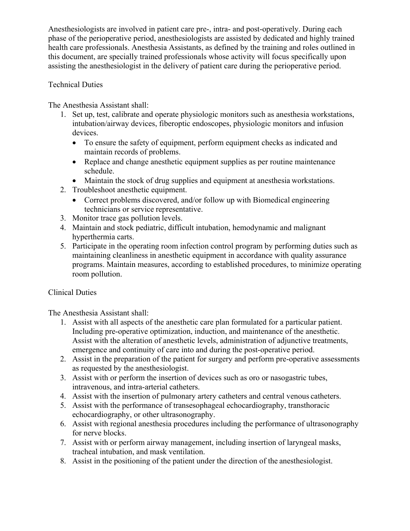Anesthesiologists are involved in patient care pre-, intra- and post-operatively. During each phase of the perioperative period, anesthesiologists are assisted by dedicated and highly trained health care professionals. Anesthesia Assistants, as defined by the training and roles outlined in this document, are specially trained professionals whose activity will focus specifically upon assisting the anesthesiologist in the delivery of patient care during the perioperative period.

### Technical Duties

The Anesthesia Assistant shall:

- 1. Set up, test, calibrate and operate physiologic monitors such as anesthesia workstations, intubation/airway devices, fiberoptic endoscopes, physiologic monitors and infusion devices.
	- To ensure the safety of equipment, perform equipment checks as indicated and maintain records of problems.
	- Replace and change anesthetic equipment supplies as per routine maintenance schedule.
	- Maintain the stock of drug supplies and equipment at anesthesia workstations.
- 2. Troubleshoot anesthetic equipment.
	- Correct problems discovered, and/or follow up with Biomedical engineering technicians or service representative.
- 3. Monitor trace gas pollution levels.
- 4. Maintain and stock pediatric, difficult intubation, hemodynamic and malignant hyperthermia carts.
- 5. Participate in the operating room infection control program by performing duties such as maintaining cleanliness in anesthetic equipment in accordance with quality assurance programs. Maintain measures, according to established procedures, to minimize operating room pollution.

# Clinical Duties

The Anesthesia Assistant shall:

- 1. Assist with all aspects of the anesthetic care plan formulated for a particular patient. Including pre-operative optimization, induction, and maintenance of the anesthetic. Assist with the alteration of anesthetic levels, administration of adjunctive treatments, emergence and continuity of care into and during the post-operative period.
- 2. Assist in the preparation of the patient for surgery and perform pre-operative assessments as requested by the anesthesiologist.
- 3. Assist with or perform the insertion of devices such as oro or nasogastric tubes, intravenous, and intra-arterial catheters.
- 4. Assist with the insertion of pulmonary artery catheters and central venous catheters.
- 5. Assist with the performance of transesophageal echocardiography, transthoracic echocardiography, or other ultrasonography.
- 6. Assist with regional anesthesia procedures including the performance of ultrasonography for nerve blocks.
- 7. Assist with or perform airway management, including insertion of laryngeal masks, tracheal intubation, and mask ventilation.
- 8. Assist in the positioning of the patient under the direction of the anesthesiologist.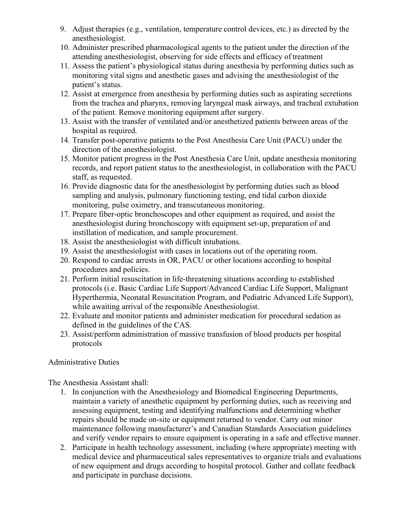- 9. Adjust therapies (e.g., ventilation, temperature control devices, etc.) as directed by the anesthesiologist.
- 10. Administer prescribed pharmacological agents to the patient under the direction of the attending anesthesiologist, observing for side effects and efficacy of treatment
- 11. Assess the patient's physiological status during anesthesia by performing duties such as monitoring vital signs and anesthetic gases and advising the anesthesiologist of the patient's status.
- 12. Assist at emergence from anesthesia by performing duties such as aspirating secretions from the trachea and pharynx, removing laryngeal mask airways, and tracheal extubation of the patient. Remove monitoring equipment after surgery.
- 13. Assist with the transfer of ventilated and/or anesthetized patients between areas of the hospital as required.
- 14. Transfer post-operative patients to the Post Anesthesia Care Unit (PACU) under the direction of the anesthesiologist.
- 15. Monitor patient progress in the Post Anesthesia Care Unit, update anesthesia monitoring records, and report patient status to the anesthesiologist, in collaboration with the PACU staff, as requested.
- 16. Provide diagnostic data for the anesthesiologist by performing duties such as blood sampling and analysis, pulmonary functioning testing, end tidal carbon dioxide monitoring, pulse oximetry, and transcutaneous monitoring.
- 17. Prepare fiber-optic bronchoscopes and other equipment as required, and assist the anesthesiologist during bronchoscopy with equipment set-up, preparation of and instillation of medication, and sample procurement.
- 18. Assist the anesthesiologist with difficult intubations.
- 19. Assist the anesthesiologist with cases in locations out of the operating room.
- 20. Respond to cardiac arrests in OR, PACU or other locations according to hospital procedures and policies.
- 21. Perform initial resuscitation in life-threatening situations according to established protocols (i.e. Basic Cardiac Life Support/Advanced Cardiac Life Support, Malignant Hyperthermia, Neonatal Resuscitation Program, and Pediatric Advanced Life Support), while awaiting arrival of the responsible Anesthesiologist.
- 22. Evaluate and monitor patients and administer medication for procedural sedation as defined in the guidelines of the CAS.
- 23. Assist/perform administration of massive transfusion of blood products per hospital protocols

# Administrative Duties

The Anesthesia Assistant shall:

- 1. In conjunction with the Anesthesiology and Biomedical Engineering Departments, maintain a variety of anesthetic equipment by performing duties, such as receiving and assessing equipment, testing and identifying malfunctions and determining whether repairs should be made on-site or equipment returned to vendor. Carry out minor maintenance following manufacturer's and Canadian Standards Association guidelines and verify vendor repairs to ensure equipment is operating in a safe and effective manner.
- 2. Participate in health technology assessment, including (where appropriate) meeting with medical device and pharmaceutical sales representatives to organize trials and evaluations of new equipment and drugs according to hospital protocol. Gather and collate feedback and participate in purchase decisions.